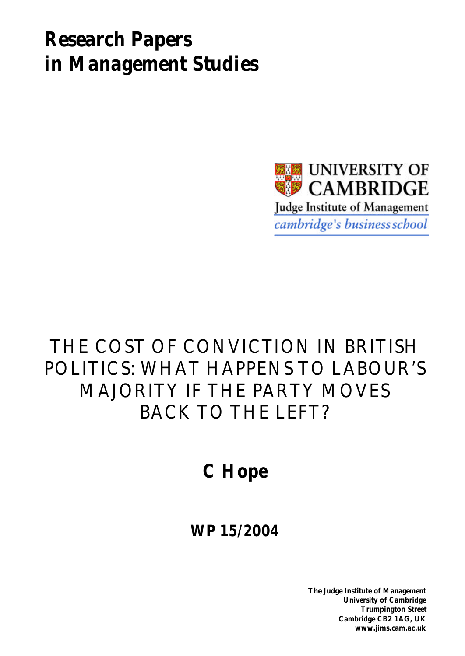# *Research Papers in Management Studies*



# THE COST OF CONVICTION IN BRITISH POLITICS: WHAT HAPPENS TO LABOUR'S MAJORITY IF THE PARTY MOVES BACK TO THE LEFT?

# **C Hope**

# **WP 15/2004**

**The Judge Institute of Management University of Cambridge Trumpington Street Cambridge CB2 1AG, UK www.jims.cam.ac.uk**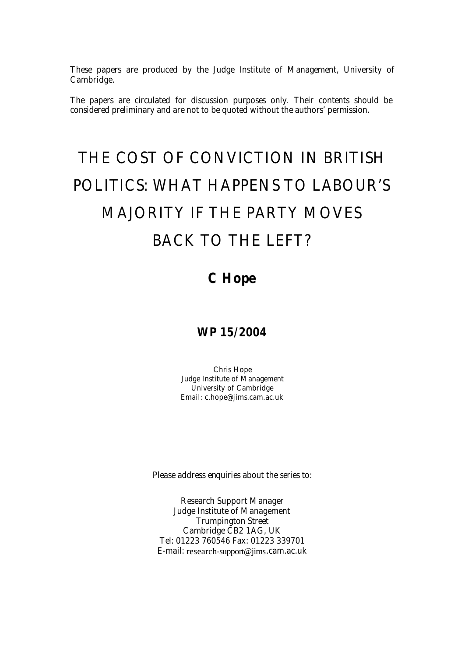These papers are produced by the Judge Institute of Management, University of Cambridge.

The papers are circulated for discussion purposes only. Their contents should be considered preliminary and are not to be quoted without the authors' permission.

# THE COST OF CONVICTION IN BRITISH POLITICS: WHAT HAPPENS TO LABOUR'S MAJORITY IF THE PARTY MOVES BACK TO THE LEFT?

# **C Hope**

# **WP 15/2004**

Chris Hope Judge Institute of Management University of Cambridge Email: c.hope@jims.cam.ac.uk

Please address enquiries about the series to:

Research Support Manager Judge Institute of Management Trumpington Street Cambridge CB2 1AG, UK Tel: 01223 760546 Fax: 01223 339701 E-mail: research-support@jims.cam.ac.uk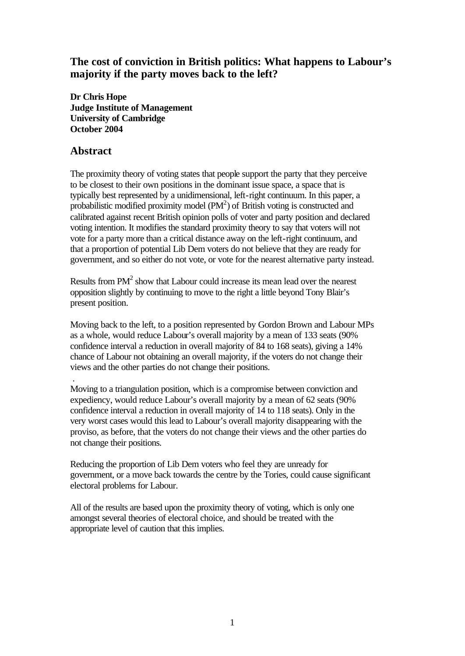# **The cost of conviction in British politics: What happens to Labour's majority if the party moves back to the left?**

**Dr Chris Hope Judge Institute of Management University of Cambridge October 2004**

### **Abstract**

The proximity theory of voting states that people support the party that they perceive to be closest to their own positions in the dominant issue space, a space that is typically best represented by a unidimensional, left-right continuum. In this paper, a probabilistic modified proximity model  $(PM^2)$  of British voting is constructed and calibrated against recent British opinion polls of voter and party position and declared voting intention. It modifies the standard proximity theory to say that voters will not vote for a party more than a critical distance away on the left-right continuum, and that a proportion of potential Lib Dem voters do not believe that they are ready for government, and so either do not vote, or vote for the nearest alternative party instead.

Results from  $PM<sup>2</sup>$  show that Labour could increase its mean lead over the nearest opposition slightly by continuing to move to the right a little beyond Tony Blair's present position.

Moving back to the left, to a position represented by Gordon Brown and Labour MPs as a whole, would reduce Labour's overall majority by a mean of 133 seats (90% confidence interval a reduction in overall majority of 84 to 168 seats), giving a 14% chance of Labour not obtaining an overall majority, if the voters do not change their views and the other parties do not change their positions.

 . Moving to a triangulation position, which is a compromise between conviction and expediency, would reduce Labour's overall majority by a mean of 62 seats (90% confidence interval a reduction in overall majority of 14 to 118 seats). Only in the very worst cases would this lead to Labour's overall majority disappearing with the proviso, as before, that the voters do not change their views and the other parties do not change their positions.

Reducing the proportion of Lib Dem voters who feel they are unready for government, or a move back towards the centre by the Tories, could cause significant electoral problems for Labour.

All of the results are based upon the proximity theory of voting, which is only one amongst several theories of electoral choice, and should be treated with the appropriate level of caution that this implies.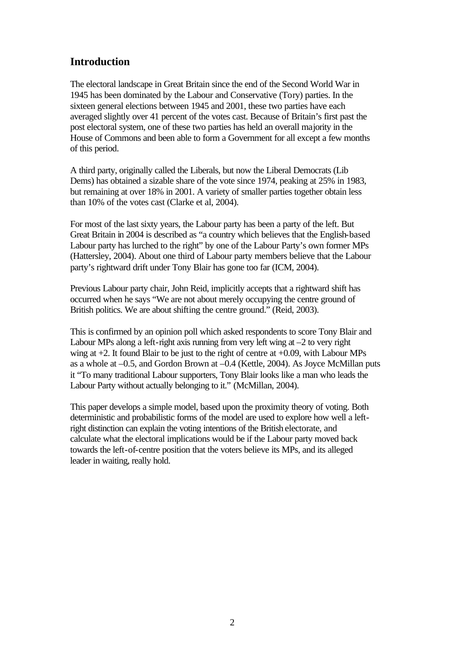# **Introduction**

The electoral landscape in Great Britain since the end of the Second World War in 1945 has been dominated by the Labour and Conservative (Tory) parties. In the sixteen general elections between 1945 and 2001, these two parties have each averaged slightly over 41 percent of the votes cast. Because of Britain's first past the post electoral system, one of these two parties has held an overall majority in the House of Commons and been able to form a Government for all except a few months of this period.

A third party, originally called the Liberals, but now the Liberal Democrats (Lib Dems) has obtained a sizable share of the vote since 1974, peaking at 25% in 1983, but remaining at over 18% in 2001. A variety of smaller parties together obtain less than 10% of the votes cast (Clarke et al, 2004).

For most of the last sixty years, the Labour party has been a party of the left. But Great Britain in 2004 is described as "a country which believes that the English-based Labour party has lurched to the right" by one of the Labour Party's own former MPs (Hattersley, 2004). About one third of Labour party members believe that the Labour party's rightward drift under Tony Blair has gone too far (ICM, 2004).

Previous Labour party chair, John Reid, implicitly accepts that a rightward shift has occurred when he says "We are not about merely occupying the centre ground of British politics. We are about shifting the centre ground." (Reid, 2003).

This is confirmed by an opinion poll which asked respondents to score Tony Blair and Labour MPs along a left-right axis running from very left wing at  $-2$  to very right wing at +2. It found Blair to be just to the right of centre at +0.09, with Labour MPs as a whole at –0.5, and Gordon Brown at –0.4 (Kettle, 2004). As Joyce McMillan puts it "To many traditional Labour supporters, Tony Blair looks like a man who leads the Labour Party without actually belonging to it." (McMillan, 2004).

This paper develops a simple model, based upon the proximity theory of voting. Both deterministic and probabilistic forms of the model are used to explore how well a leftright distinction can explain the voting intentions of the British electorate, and calculate what the electoral implications would be if the Labour party moved back towards the left-of-centre position that the voters believe its MPs, and its alleged leader in waiting, really hold.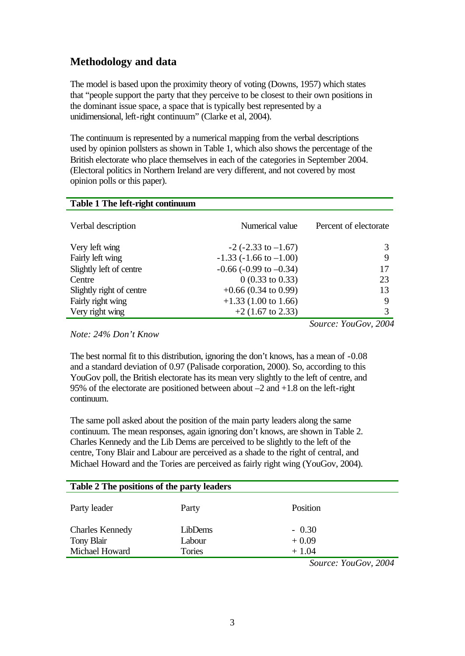# **Methodology and data**

The model is based upon the proximity theory of voting (Downs, 1957) which states that "people support the party that they perceive to be closest to their own positions in the dominant issue space, a space that is typically best represented by a unidimensional, left-right continuum" (Clarke et al, 2004).

The continuum is represented by a numerical mapping from the verbal descriptions used by opinion pollsters as shown in Table 1, which also shows the percentage of the British electorate who place themselves in each of the categories in September 2004. (Electoral politics in Northern Ireland are very different, and not covered by most opinion polls or this paper).

| Table 1 The left-right continuum |                                |                       |
|----------------------------------|--------------------------------|-----------------------|
| Verbal description               | Numerical value                | Percent of electorate |
| Very left wing                   | $-2$ ( $-2.33$ to $-1.67$ )    | 3                     |
| Fairly left wing                 | $-1.33$ ( $-1.66$ to $-1.00$ ) | 9                     |
| Slightly left of centre          | $-0.66$ ( $-0.99$ to $-0.34$ ) | 17                    |
| Centre                           | $0(0.33 \text{ to } 0.33)$     | 23                    |
| Slightly right of centre         | $+0.66$ (0.34 to 0.99)         | 13                    |
| Fairly right wing                | $+1.33$ (1.00 to 1.66)         | 9                     |
| Very right wing                  | $+2$ (1.67 to 2.33)            | 3                     |
|                                  |                                | Source: YouGov, 2004  |

*Note: 24% Don't Know*

The best normal fit to this distribution, ignoring the don't knows, has a mean of -0.08 and a standard deviation of 0.97 (Palisade corporation, 2000). So, according to this YouGov poll, the British electorate has its mean very slightly to the left of centre, and 95% of the electorate are positioned between about –2 and +1.8 on the left-right continuum.

The same poll asked about the position of the main party leaders along the same continuum. The mean responses, again ignoring don't knows, are shown in Table 2. Charles Kennedy and the Lib Dems are perceived to be slightly to the left of the centre, Tony Blair and Labour are perceived as a shade to the right of central, and Michael Howard and the Tories are perceived as fairly right wing (YouGov, 2004).

| Table 2 The positions of the party leaders |         |          |  |
|--------------------------------------------|---------|----------|--|
| Party leader                               | Party   | Position |  |
| <b>Charles Kennedy</b>                     | LibDems | $-0.30$  |  |
| Tony Blair                                 | Labour  | $+0.09$  |  |
| Michael Howard                             | Tories  | $+1.04$  |  |

*Source: YouGov, 2004*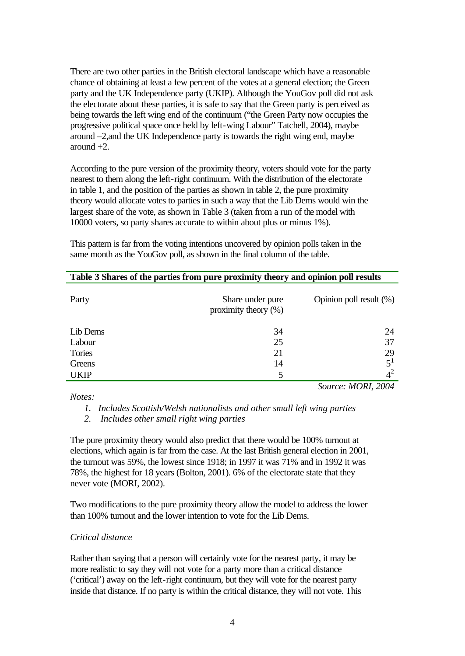There are two other parties in the British electoral landscape which have a reasonable chance of obtaining at least a few percent of the votes at a general election; the Green party and the UK Independence party (UKIP). Although the YouGov poll did not ask the electorate about these parties, it is safe to say that the Green party is perceived as being towards the left wing end of the continuum ("the Green Party now occupies the progressive political space once held by left-wing Labour" Tatchell, 2004), maybe around –2,and the UK Independence party is towards the right wing end, maybe around  $+2$ .

According to the pure version of the proximity theory, voters should vote for the party nearest to them along the left-right continuum. With the distribution of the electorate in table 1, and the position of the parties as shown in table 2, the pure proximity theory would allocate votes to parties in such a way that the Lib Dems would win the largest share of the vote, as shown in Table 3 (taken from a run of the model with 10000 voters, so party shares accurate to within about plus or minus 1%).

| Table 3 Shares of the parties from pure proximity theory and opinion poll results |                                             |                         |
|-----------------------------------------------------------------------------------|---------------------------------------------|-------------------------|
| Party                                                                             | Share under pure<br>proximity theory $(\%)$ | Opinion poll result (%) |
| Lib Dems                                                                          | 34                                          | 24                      |
| Labour                                                                            | 25                                          | 37                      |
| Tories                                                                            | 21                                          | 29                      |
| Greens                                                                            | 14                                          | $5^1$                   |
| <b>UKIP</b>                                                                       | 5                                           | $4^2$                   |

This pattern is far from the voting intentions uncovered by opinion polls taken in the same month as the YouGov poll, as shown in the final column of the table.

*Notes:*

*1. Includes Scottish/Welsh nationalists and other small left wing parties*

*Source: MORI, 2004*

*2. Includes other small right wing parties*

The pure proximity theory would also predict that there would be 100% turnout at elections, which again is far from the case. At the last British general election in 2001, the turnout was 59%, the lowest since 1918; in 1997 it was 71% and in 1992 it was 78%, the highest for 18 years (Bolton, 2001). 6% of the electorate state that they never vote (MORI, 2002).

Two modifications to the pure proximity theory allow the model to address the lower than 100% turnout and the lower intention to vote for the Lib Dems.

#### *Critical distance*

Rather than saying that a person will certainly vote for the nearest party, it may be more realistic to say they will not vote for a party more than a critical distance ('critical') away on the left-right continuum, but they will vote for the nearest party inside that distance. If no party is within the critical distance, they will not vote. This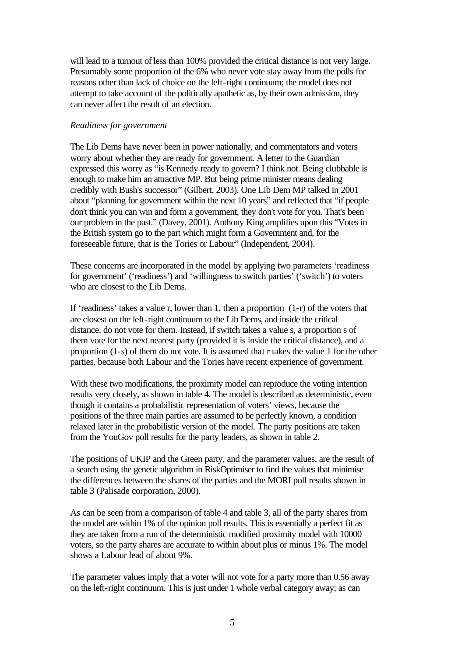will lead to a turnout of less than 100% provided the critical distance is not very large. Presumably some proportion of the 6% who never vote stay away from the polls for reasons other than lack of choice on the left-right continuum; the model does not attempt to take account of the politically apathetic as, by their own admission, they can never affect the result of an election.

#### *Readiness for government*

The Lib Dems have never been in power nationally, and commentators and voters worry about whether they are ready for government. A letter to the Guardian expressed this worry as "is Kennedy ready to govern? I think not. Being clubbable is enough to make him an attractive MP. But being prime minister means dealing credibly with Bush's successor" (Gilbert, 2003). One Lib Dem MP talked in 2001 about "planning for government within the next 10 years" and reflected that "if people don't think you can win and form a government, they don't vote for you. That's been our problem in the past." (Davey, 2001). Anthony King amplifies upon this "Votes in the British system go to the part which might form a Government and, for the foreseeable future, that is the Tories or Labour" (Independent, 2004).

These concerns are incorporated in the model by applying two parameters 'readiness for government' ('readiness') and 'willingness to switch parties' ('switch') to voters who are closest to the Lib Dems.

If 'readiness' takes a value r, lower than 1, then a proportion  $(1-r)$  of the voters that are closest on the left-right continuum to the Lib Dems, and inside the critical distance, do not vote for them. Instead, if switch takes a value s, a proportion s of them vote for the next nearest party (provided it is inside the critical distance), and a proportion (1-s) of them do not vote. It is assumed that r takes the value 1 for the other parties, because both Labour and the Tories have recent experience of government.

With these two modifications, the proximity model can reproduce the voting intention results very closely, as shown in table 4. The model is described as deterministic, even though it contains a probabilistic representation of voters' views, because the positions of the three main parties are assumed to be perfectly known, a condition relaxed later in the probabilistic version of the model. The party positions are taken from the YouGov poll results for the party leaders, as shown in table 2.

The positions of UKIP and the Green party, and the parameter values, are the result of a search using the genetic algorithm in RiskOptimiser to find the values that minimise the differences between the shares of the parties and the MORI poll results shown in table 3 (Palisade corporation, 2000).

As can be seen from a comparison of table 4 and table 3, all of the party shares from the model are within 1% of the opinion poll results. This is essentially a perfect fit as they are taken from a run of the deterministic modified proximity model with 10000 voters, so the party shares are accurate to within about plus or minus 1%. The model shows a Labour lead of about 9%.

The parameter values imply that a voter will not vote for a party more than 0.56 away on the left-right continuum. This is just under 1 whole verbal category away; as can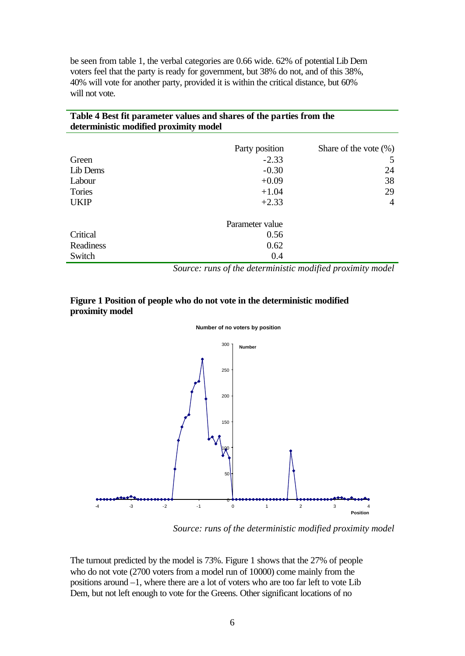be seen from table 1, the verbal categories are 0.66 wide. 62% of potential Lib Dem voters feel that the party is ready for government, but 38% do not, and of this 38%, 40% will vote for another party, provided it is within the critical distance, but 60% will not vote.

**Table 4 Best fit parameter values and shares of the parties from the** 

| deterministic modified proximity model |                 |                           |
|----------------------------------------|-----------------|---------------------------|
|                                        | Party position  | Share of the vote $(\% )$ |
| Green                                  | $-2.33$         |                           |
| Lib Dems                               | $-0.30$         | 24                        |
| Labour                                 | $+0.09$         | 38                        |
| Tories                                 | $+1.04$         | 29                        |
| <b>UKIP</b>                            | $+2.33$         | 4                         |
|                                        | Parameter value |                           |
| Critical                               | 0.56            |                           |
| Readiness                              | 0.62            |                           |
| Switch                                 | 0.4             |                           |

*Source: runs of the deterministic modified proximity model*

#### **Figure 1 Position of people who do not vote in the deterministic modified proximity model**





*Source: runs of the deterministic modified proximity model*

The turnout predicted by the model is 73%. Figure 1 shows that the 27% of people who do not vote (2700 voters from a model run of 10000) come mainly from the positions around –1, where there are a lot of voters who are too far left to vote Lib Dem, but not left enough to vote for the Greens. Other significant locations of no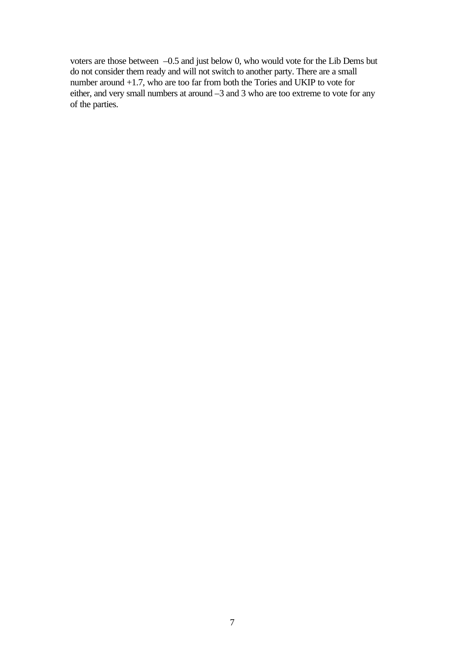voters are those between –0.5 and just below 0, who would vote for the Lib Dems but do not consider them ready and will not switch to another party. There are a small number around +1.7, who are too far from both the Tories and UKIP to vote for either, and very small numbers at around –3 and 3 who are too extreme to vote for any of the parties.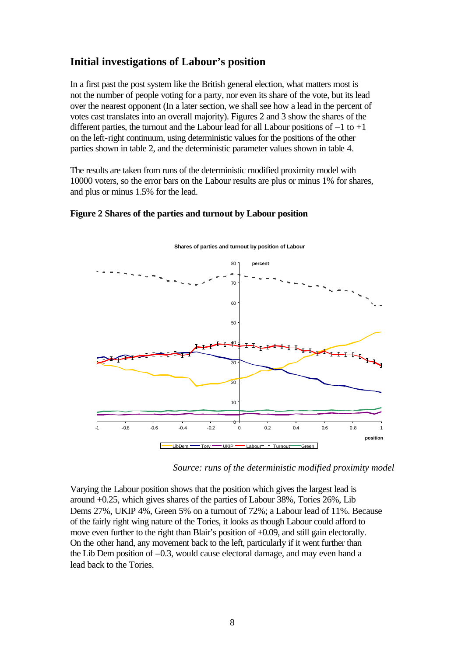## **Initial investigations of Labour's position**

In a first past the post system like the British general election, what matters most is not the number of people voting for a party, nor even its share of the vote, but its lead over the nearest opponent (In a later section, we shall see how a lead in the percent of votes cast translates into an overall majority). Figures 2 and 3 show the shares of the different parties, the turnout and the Labour lead for all Labour positions of  $-1$  to  $+1$ on the left-right continuum, using deterministic values for the positions of the other parties shown in table 2, and the deterministic parameter values shown in table 4.

The results are taken from runs of the deterministic modified proximity model with 10000 voters, so the error bars on the Labour results are plus or minus 1% for shares, and plus or minus 1.5% for the lead.

#### **Figure 2 Shares of the parties and turnout by Labour position**



**Shares of parties and turnout by position of Labour**

*Source: runs of the deterministic modified proximity model*

Varying the Labour position shows that the position which gives the largest lead is around +0.25, which gives shares of the parties of Labour 38%, Tories 26%, Lib Dems 27%, UKIP 4%, Green 5% on a turnout of 72%; a Labour lead of 11%. Because of the fairly right wing nature of the Tories, it looks as though Labour could afford to move even further to the right than Blair's position of +0.09, and still gain electorally. On the other hand, any movement back to the left, particularly if it went further than the Lib Dem position of –0.3, would cause electoral damage, and may even hand a lead back to the Tories.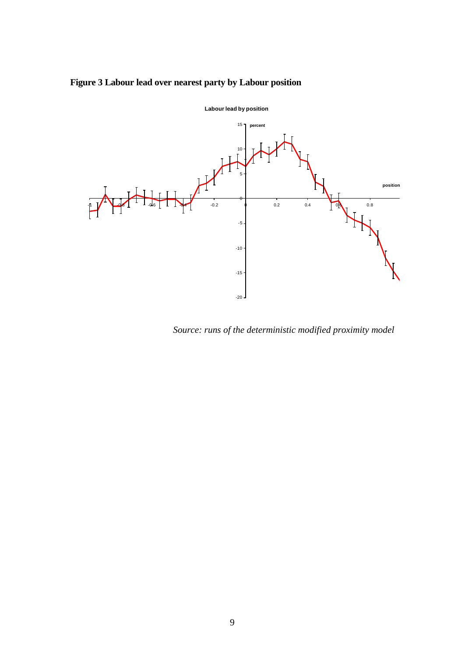# **Figure 3 Labour lead over nearest party by Labour position**



*Source: runs of the deterministic modified proximity model*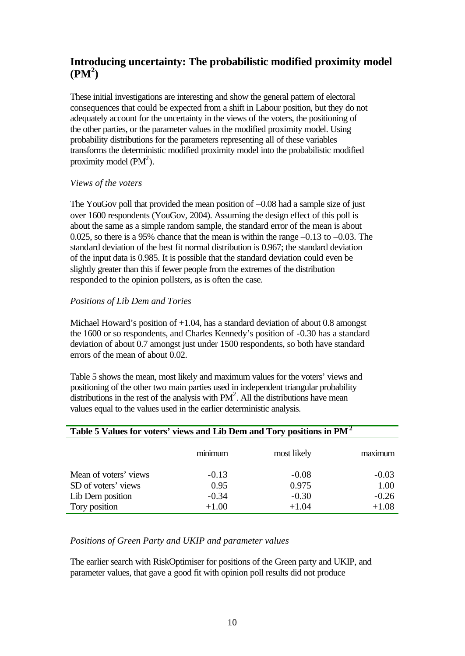# **Introducing uncertainty: The probabilistic modified proximity model (PM<sup>2</sup> )**

These initial investigations are interesting and show the general pattern of electoral consequences that could be expected from a shift in Labour position, but they do not adequately account for the uncertainty in the views of the voters, the positioning of the other parties, or the parameter values in the modified proximity model. Using probability distributions for the parameters representing all of these variables transforms the deterministic modified proximity model into the probabilistic modified proximity model  $(PM^2)$ .

#### *Views of the voters*

The YouGov poll that provided the mean position of –0.08 had a sample size of just over 1600 respondents (YouGov, 2004). Assuming the design effect of this poll is about the same as a simple random sample, the standard error of the mean is about 0.025, so there is a 95% chance that the mean is within the range –0.13 to –0.03. The standard deviation of the best fit normal distribution is 0.967; the standard deviation of the input data is 0.985. It is possible that the standard deviation could even be slightly greater than this if fewer people from the extremes of the distribution responded to the opinion pollsters, as is often the case.

#### *Positions of Lib Dem and Tories*

Michael Howard's position of +1.04, has a standard deviation of about 0.8 amongst the 1600 or so respondents, and Charles Kennedy's position of -0.30 has a standard deviation of about 0.7 amongst just under 1500 respondents, so both have standard errors of the mean of about 0.02.

Table 5 shows the mean, most likely and maximum values for the voters' views and positioning of the other two main parties used in independent triangular probability distributions in the rest of the analysis with  $PM^2$ . All the distributions have mean values equal to the values used in the earlier deterministic analysis.

| Table 5 Values for voters' views and Lib Dem and Tory positions in PM <sup>2</sup> |         |             |         |
|------------------------------------------------------------------------------------|---------|-------------|---------|
|                                                                                    | minimum | most likely | maximum |
| Mean of voters' views                                                              | $-0.13$ | $-0.08$     | $-0.03$ |
| SD of voters' views                                                                | 0.95    | 0.975       | 1.00    |
| Lib Dem position                                                                   | $-0.34$ | $-0.30$     | $-0.26$ |
| Tory position                                                                      | $+1.00$ | $+1.04$     | $+1.08$ |

#### *Positions of Green Party and UKIP and parameter values*

The earlier search with RiskOptimiser for positions of the Green party and UKIP, and parameter values, that gave a good fit with opinion poll results did not produce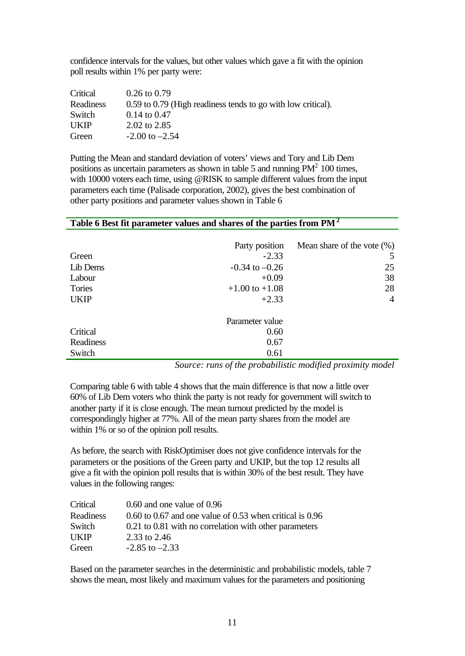confidence intervals for the values, but other values which gave a fit with the opinion poll results within 1% per party were:

| Critical    | $0.26$ to $0.79$                                             |
|-------------|--------------------------------------------------------------|
| Readiness   | 0.59 to 0.79 (High readiness tends to go with low critical). |
| Switch      | $0.14$ to $0.47$                                             |
| <b>UKIP</b> | 2.02 to 2.85                                                 |
| Green       | $-2.00$ to $-2.54$                                           |

Putting the Mean and standard deviation of voters' views and Tory and Lib Dem positions as uncertain parameters as shown in table 5 and running  $PM^2$  100 times, with 10000 voters each time, using @RISK to sample different values from the input parameters each time (Palisade corporation, 2002), gives the best combination of other party positions and parameter values shown in Table 6

|             | Party position     | Mean share of the vote $(\%)$ |
|-------------|--------------------|-------------------------------|
| Green       | $-2.33$            |                               |
| Lib Dems    | $-0.34$ to $-0.26$ | 25                            |
| Labour      | $+0.09$            | 38                            |
| Tories      | $+1.00$ to $+1.08$ | 28                            |
| <b>UKIP</b> | $+2.33$            | $\overline{4}$                |
|             | Parameter value    |                               |
| Critical    | 0.60               |                               |
| Readiness   | 0.67               |                               |
| Switch      | 0.61               |                               |

#### **Table 6 Best fit parameter values and shares of the parties from PM<sup>2</sup>**

*Source: runs of the probabilistic modified proximity model*

Comparing table 6 with table 4 shows that the main difference is that now a little over 60% of Lib Dem voters who think the party is not ready for government will switch to another party if it is close enough. The mean turnout predicted by the model is correspondingly higher at 77%. All of the mean party shares from the model are within 1% or so of the opinion poll results.

As before, the search with RiskOptimiser does not give confidence intervals for the parameters or the positions of the Green party and UKIP, but the top 12 results all give a fit with the opinion poll results that is within 30% of the best result. They have values in the following ranges:

| Critical    | $0.60$ and one value of $0.96$                                   |
|-------------|------------------------------------------------------------------|
| Readiness   | $0.60$ to $0.67$ and one value of $0.53$ when critical is $0.96$ |
| Switch      | 0.21 to 0.81 with no correlation with other parameters           |
| <b>UKIP</b> | 2.33 to 2.46                                                     |
| Green       | $-2.85$ to $-2.33$                                               |

Based on the parameter searches in the deterministic and probabilistic models, table 7 shows the mean, most likely and maximum values for the parameters and positioning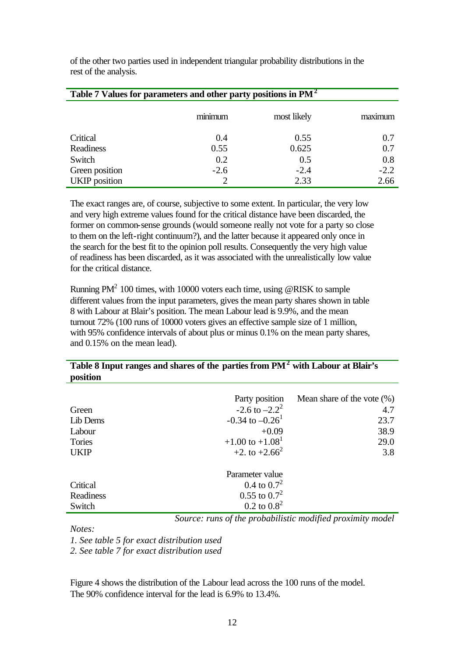of the other two parties used in independent triangular probability distributions in the rest of the analysis.

| Table 7 Values for parameters and other party positions in $PM^2$ |                |             |         |
|-------------------------------------------------------------------|----------------|-------------|---------|
|                                                                   | . .<br>minimum | most likely | maximum |
| Critical                                                          | 0.4            | 0.55        | 0.7     |
| Readiness                                                         | 0.55           | 0.625       | 0.7     |
| Switch                                                            | 0.2            | 0.5         | 0.8     |
| Green position                                                    | $-2.6$         | $-2.4$      | $-2.2$  |
| <b>UKIP</b> position                                              |                | 2.33        | 2.66    |

The exact ranges are, of course, subjective to some extent. In particular, the very low and very high extreme values found for the critical distance have been discarded, the former on common-sense grounds (would someone really not vote for a party so close to them on the left-right continuum?), and the latter because it appeared only once in the search for the best fit to the opinion poll results. Consequently the very high value of readiness has been discarded, as it was associated with the unrealistically low value for the critical distance.

Running  $PM^2$  100 times, with 10000 voters each time, using @RISK to sample different values from the input parameters, gives the mean party shares shown in table 8 with Labour at Blair's position. The mean Labour lead is 9.9%, and the mean turnout 72% (100 runs of 10000 voters gives an effective sample size of 1 million, with 95% confidence intervals of about plus or minus 0.1% on the mean party shares, and 0.15% on the mean lead).

#### **Table 8 Input ranges and shares of the parties from PM<sup>2</sup> with Labour at Blair's position**

|             | Party position                  | Mean share of the vote $(\%)$ |
|-------------|---------------------------------|-------------------------------|
| Green       | $-2.6$ to $-2.2^2$              | 4.7                           |
| Lib Dems    | $-0.34$ to $-0.26$ <sup>1</sup> | 23.7                          |
| Labour      | $+0.09$                         | 38.9                          |
| Tories      | $+1.00$ to $+1.08$ <sup>1</sup> | 29.0                          |
| <b>UKIP</b> | $+2$ , to $+2.66^2$             | 3.8                           |
|             | Parameter value                 |                               |
|             |                                 |                               |
| Critical    | 0.4 to $0.7^2$                  |                               |
| Readiness   | $0.55$ to $0.7^2$               |                               |
| Switch      | $0.2 \text{ to } 0.8^2$         |                               |

*Source: runs of the probabilistic modified proximity model*

*Notes:*

*1. See table 5 for exact distribution used*

*2. See table 7 for exact distribution used*

Figure 4 shows the distribution of the Labour lead across the 100 runs of the model. The 90% confidence interval for the lead is 6.9% to 13.4%.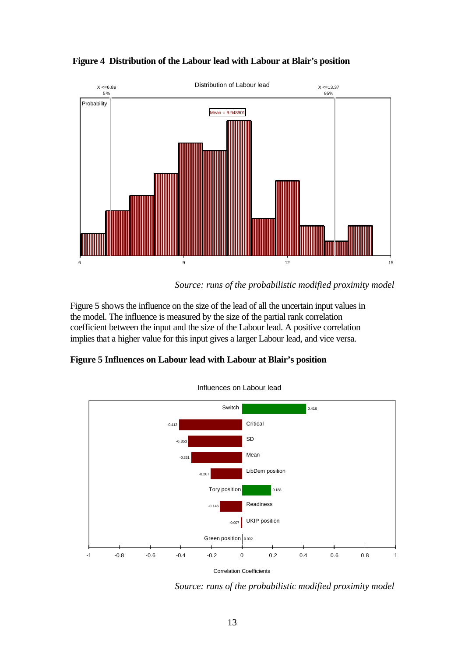

 **Figure 4 Distribution of the Labour lead with Labour at Blair's position**

Figure 5 shows the influence on the size of the lead of all the uncertain input values in the model. The influence is measured by the size of the partial rank correlation coefficient between the input and the size of the Labour lead. A positive correlation implies that a higher value for this input gives a larger Labour lead, and vice versa.

### **Figure 5 Influences on Labour lead with Labour at Blair's position**



Influences on Labour lead

Correlation Coefficients

*Source: runs of the probabilistic modified proximity model*

*Source: runs of the probabilistic modified proximity model*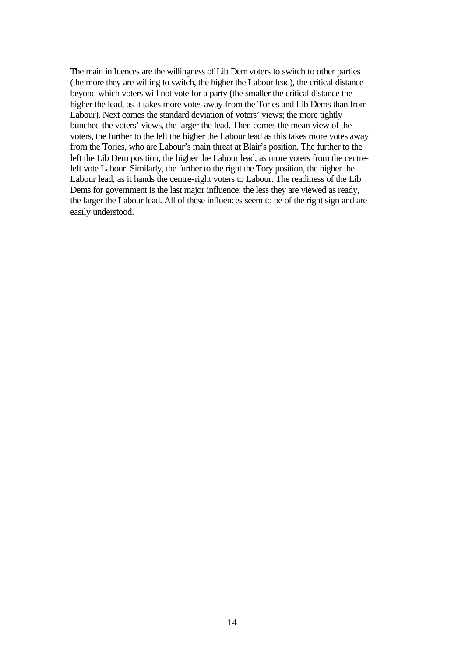The main influences are the willingness of Lib Dem voters to switch to other parties (the more they are willing to switch, the higher the Labour lead), the critical distance beyond which voters will not vote for a party (the smaller the critical distance the higher the lead, as it takes more votes away from the Tories and Lib Dems than from Labour). Next comes the standard deviation of voters' views; the more tightly bunched the voters' views, the larger the lead. Then comes the mean view of the voters, the further to the left the higher the Labour lead as this takes more votes away from the Tories, who are Labour's main threat at Blair's position. The further to the left the Lib Dem position, the higher the Labour lead, as more voters from the centreleft vote Labour. Similarly, the further to the right the Tory position, the higher the Labour lead, as it hands the centre-right voters to Labour. The readiness of the Lib Dems for government is the last major influence; the less they are viewed as ready, the larger the Labour lead. All of these influences seem to be of the right sign and are easily understood.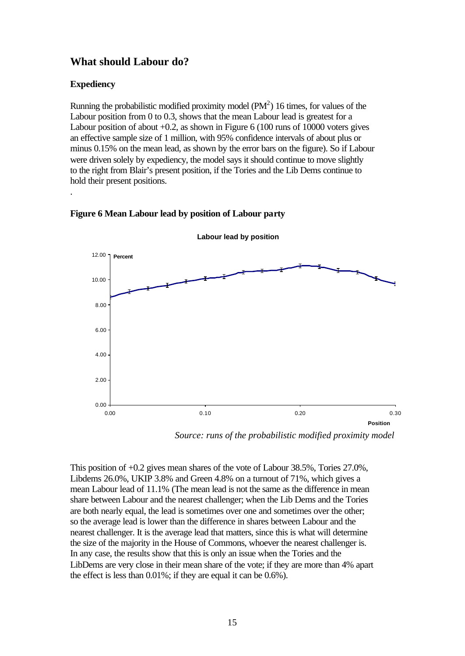# **What should Labour do?**

#### **Expediency**

.

Running the probabilistic modified proximity model  $(PM^2)$  16 times, for values of the Labour position from 0 to 0.3, shows that the mean Labour lead is greatest for a Labour position of about +0.2, as shown in Figure 6 (100 runs of 10000 voters gives an effective sample size of 1 million, with 95% confidence intervals of about plus or minus 0.15% on the mean lead, as shown by the error bars on the figure). So if Labour were driven solely by expediency, the model says it should continue to move slightly to the right from Blair's present position, if the Tories and the Lib Dems continue to hold their present positions.



#### **Figure 6 Mean Labour lead by position of Labour party**

*Source: runs of the probabilistic modified proximity model*

This position of +0.2 gives mean shares of the vote of Labour 38.5%, Tories 27.0%, Libdems 26.0%, UKIP 3.8% and Green 4.8% on a turnout of 71%, which gives a mean Labour lead of 11.1% (The mean lead is not the same as the difference in mean share between Labour and the nearest challenger; when the Lib Dems and the Tories are both nearly equal, the lead is sometimes over one and sometimes over the other; so the average lead is lower than the difference in shares between Labour and the nearest challenger. It is the average lead that matters, since this is what will determine the size of the majority in the House of Commons, whoever the nearest challenger is. In any case, the results show that this is only an issue when the Tories and the LibDems are very close in their mean share of the vote; if they are more than 4% apart the effect is less than 0.01%; if they are equal it can be 0.6%).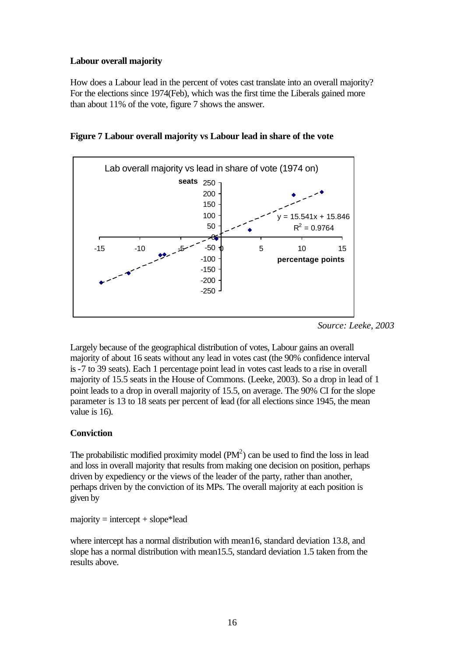#### **Labour overall majority**

How does a Labour lead in the percent of votes cast translate into an overall majority? For the elections since 1974(Feb), which was the first time the Liberals gained more than about 11% of the vote, figure 7 shows the answer.



**Figure 7 Labour overall majority vs Labour lead in share of the vote**

Largely because of the geographical distribution of votes, Labour gains an overall majority of about 16 seats without any lead in votes cast (the 90% confidence interval is -7 to 39 seats). Each 1 percentage point lead in votes cast leads to a rise in overall majority of 15.5 seats in the House of Commons. (Leeke, 2003). So a drop in lead of 1 point leads to a drop in overall majority of 15.5, on average. The 90% CI for the slope parameter is 13 to 18 seats per percent of lead (for all elections since 1945, the mean value is 16).

#### **Conviction**

The probabilistic modified proximity model  $(PM^2)$  can be used to find the loss in lead and loss in overall majority that results from making one decision on position, perhaps driven by expediency or the views of the leader of the party, rather than another, perhaps driven by the conviction of its MPs. The overall majority at each position is given by

 $majority = intercept + slope*lead$ 

where intercept has a normal distribution with mean16, standard deviation 13.8, and slope has a normal distribution with mean15.5, standard deviation 1.5 taken from the results above.

*Source: Leeke, 2003*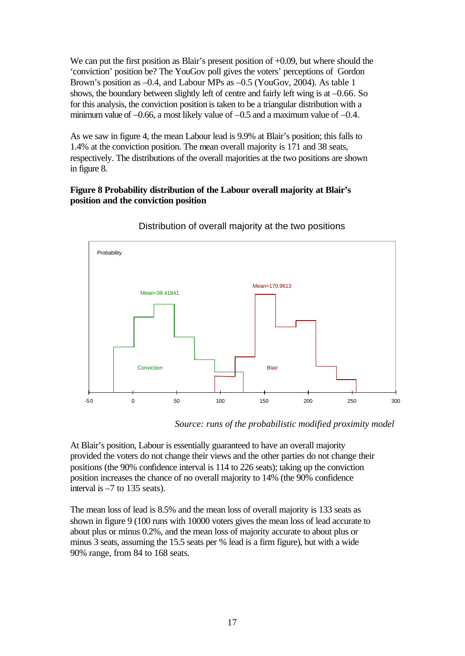We can put the first position as Blair's present position of  $+0.09$ , but where should the 'conviction' position be? The YouGov poll gives the voters' perceptions of Gordon Brown's position as –0.4, and Labour MPs as –0.5 (YouGov, 2004). As table 1 shows, the boundary between slightly left of centre and fairly left wing is at –0.66. So for this analysis, the conviction position is taken to be a triangular distribution with a minimum value of  $-0.66$ , a most likely value of  $-0.5$  and a maximum value of  $-0.4$ .

As we saw in figure 4, the mean Labour lead is 9.9% at Blair's position; this falls to 1.4% at the conviction position. The mean overall majority is 171 and 38 seats, respectively. The distributions of the overall majorities at the two positions are shown in figure 8.

#### **Figure 8 Probability distribution of the Labour overall majority at Blair's position and the conviction position**



#### Distribution of overall majority at the two positions

*Source: runs of the probabilistic modified proximity model*

At Blair's position, Labour is essentially guaranteed to have an overall majority provided the voters do not change their views and the other parties do not change their positions (the 90% confidence interval is 114 to 226 seats); taking up the conviction position increases the chance of no overall majority to 14% (the 90% confidence interval is –7 to 135 seats).

The mean loss of lead is 8.5% and the mean loss of overall majority is 133 seats as shown in figure 9 (100 runs with 10000 voters gives the mean loss of lead accurate to about plus or minus 0.2%, and the mean loss of majority accurate to about plus or minus 3 seats, assuming the 15.5 seats per % lead is a firm figure), but with a wide 90% range, from 84 to 168 seats.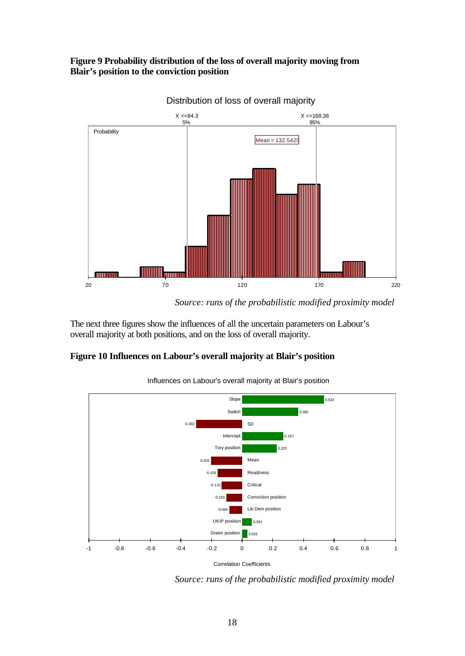#### **Figure 9 Probability distribution of the loss of overall majority moving from Blair's position to the conviction position**



Distribution of loss of overall majority

The next three figures show the influences of all the uncertain parameters on Labour's overall majority at both positions, and on the loss of overall majority.

#### **Figure 10 Influences on Labour's overall majority at Blair's position**



Influences on Labour's overall majority at Blair's position

*Source: runs of the probabilistic modified proximity model*

*Source: runs of the probabilistic modified proximity model*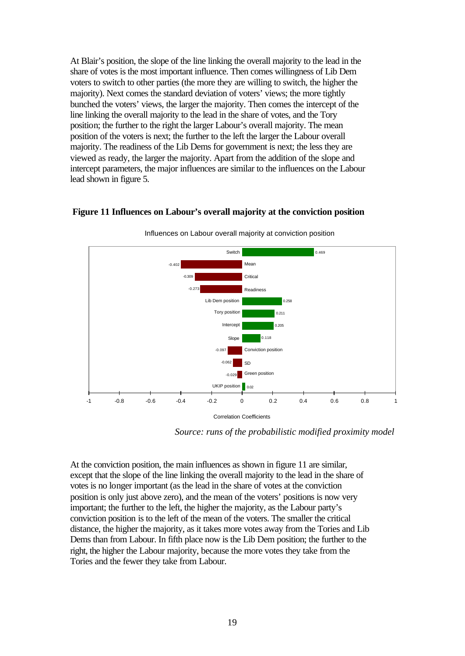At Blair's position, the slope of the line linking the overall majority to the lead in the share of votes is the most important influence. Then comes willingness of Lib Dem voters to switch to other parties (the more they are willing to switch, the higher the majority). Next comes the standard deviation of voters' views; the more tightly bunched the voters' views, the larger the majority. Then comes the intercept of the line linking the overall majority to the lead in the share of votes, and the Tory position; the further to the right the larger Labour's overall majority. The mean position of the voters is next; the further to the left the larger the Labour overall majority. The readiness of the Lib Dems for government is next; the less they are viewed as ready, the larger the majority. Apart from the addition of the slope and intercept parameters, the major influences are similar to the influences on the Labour lead shown in figure 5.

#### **Figure 11 Influences on Labour's overall majority at the conviction position**



Influences on Labour overall majority at conviction position

*Source: runs of the probabilistic modified proximity model*

At the conviction position, the main influences as shown in figure 11 are similar, except that the slope of the line linking the overall majority to the lead in the share of votes is no longer important (as the lead in the share of votes at the conviction position is only just above zero), and the mean of the voters' positions is now very important; the further to the left, the higher the majority, as the Labour party's conviction position is to the left of the mean of the voters. The smaller the critical distance, the higher the majority, as it takes more votes away from the Tories and Lib Dems than from Labour. In fifth place now is the Lib Dem position; the further to the right, the higher the Labour majority, because the more votes they take from the Tories and the fewer they take from Labour.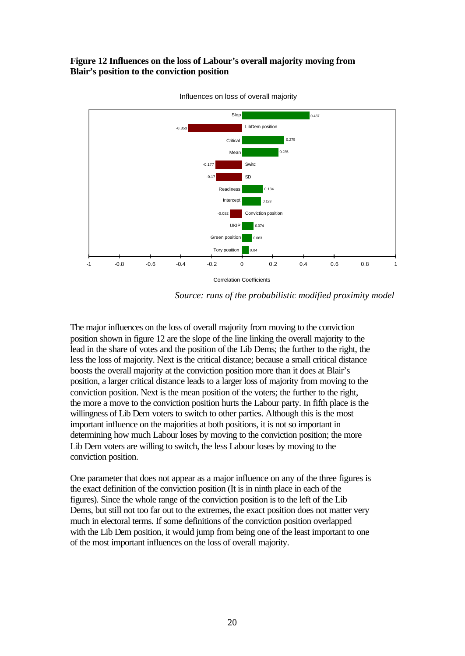#### **Figure 12 Influences on the loss of Labour's overall majority moving from Blair's position to the conviction position**



Influences on loss of overall majority

*Source: runs of the probabilistic modified proximity model*

The major influences on the loss of overall majority from moving to the conviction position shown in figure 12 are the slope of the line linking the overall majority to the lead in the share of votes and the position of the Lib Dems; the further to the right, the less the loss of majority. Next is the critical distance; because a small critical distance boosts the overall majority at the conviction position more than it does at Blair's position, a larger critical distance leads to a larger loss of majority from moving to the conviction position. Next is the mean position of the voters; the further to the right, the more a move to the conviction position hurts the Labour party. In fifth place is the willingness of Lib Dem voters to switch to other parties. Although this is the most important influence on the majorities at both positions, it is not so important in determining how much Labour loses by moving to the conviction position; the more Lib Dem voters are willing to switch, the less Labour loses by moving to the conviction position.

One parameter that does not appear as a major influence on any of the three figures is the exact definition of the conviction position (It is in ninth place in each of the figures). Since the whole range of the conviction position is to the left of the Lib Dems, but still not too far out to the extremes, the exact position does not matter very much in electoral terms. If some definitions of the conviction position overlapped with the Lib Dem position, it would jump from being one of the least important to one of the most important influences on the loss of overall majority.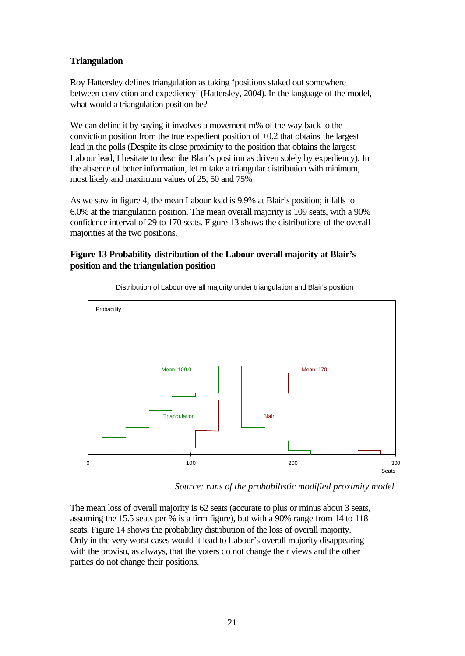#### **Triangulation**

Roy Hattersley defines triangulation as taking 'positions staked out somewhere between conviction and expediency' (Hattersley, 2004). In the language of the model, what would a triangulation position be?

We can define it by saying it involves a movement m% of the way back to the conviction position from the true expedient position of +0.2 that obtains the largest lead in the polls (Despite its close proximity to the position that obtains the largest Labour lead, I hesitate to describe Blair's position as driven solely by expediency). In the absence of better information, let m take a triangular distribution with minimum, most likely and maximum values of 25, 50 and 75%

As we saw in figure 4, the mean Labour lead is 9.9% at Blair's position; it falls to 6.0% at the triangulation position. The mean overall majority is 109 seats, with a 90% confidence interval of 29 to 170 seats. Figure 13 shows the distributions of the overall majorities at the two positions.

#### **Figure 13 Probability distribution of the Labour overall majority at Blair's position and the triangulation position**



Distribution of Labour overall majority under triangulation and Blair's position

*Source: runs of the probabilistic modified proximity model*

The mean loss of overall majority is 62 seats (accurate to plus or minus about 3 seats, assuming the 15.5 seats per % is a firm figure), but with a 90% range from 14 to 118 seats. Figure 14 shows the probability distribution of the loss of overall majority. Only in the very worst cases would it lead to Labour's overall majority disappearing with the proviso, as always, that the voters do not change their views and the other parties do not change their positions.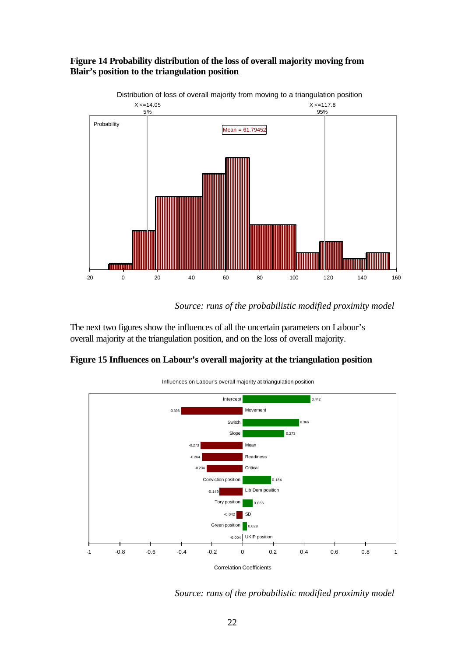



*Source: runs of the probabilistic modified proximity model*

The next two figures show the influences of all the uncertain parameters on Labour's overall majority at the triangulation position, and on the loss of overall majority.

#### **Figure 15 Influences on Labour's overall majority at the triangulation position**



Influences on Labour's overall majority at triangulation position

*Source: runs of the probabilistic modified proximity model*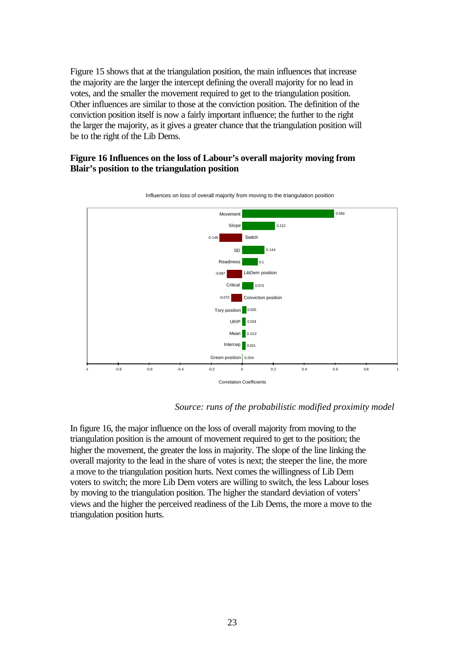Figure 15 shows that at the triangulation position, the main influences that increase the majority are the larger the intercept defining the overall majority for no lead in votes, and the smaller the movement required to get to the triangulation position. Other influences are similar to those at the conviction position. The definition of the conviction position itself is now a fairly important influence; the further to the right the larger the majority, as it gives a greater chance that the triangulation position will be to the right of the Lib Dems.

#### **Figure 16 Influences on the loss of Labour's overall majority moving from Blair's position to the triangulation position**



Influences on loss of overall majority from moving to the triangulation position

*Source: runs of the probabilistic modified proximity model*

In figure 16, the major influence on the loss of overall majority from moving to the triangulation position is the amount of movement required to get to the position; the higher the movement, the greater the loss in majority. The slope of the line linking the overall majority to the lead in the share of votes is next; the steeper the line, the more a move to the triangulation position hurts. Next comes the willingness of Lib Dem voters to switch; the more Lib Dem voters are willing to switch, the less Labour loses by moving to the triangulation position. The higher the standard deviation of voters' views and the higher the perceived readiness of the Lib Dems, the more a move to the triangulation position hurts.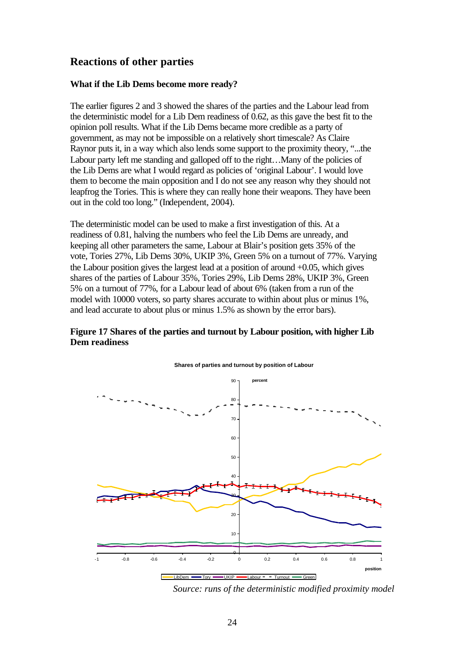# **Reactions of other parties**

#### **What if the Lib Dems become more ready?**

The earlier figures 2 and 3 showed the shares of the parties and the Labour lead from the deterministic model for a Lib Dem readiness of 0.62, as this gave the best fit to the opinion poll results. What if the Lib Dems became more credible as a party of government, as may not be impossible on a relatively short timescale? As Claire Raynor puts it, in a way which also lends some support to the proximity theory, "...the Labour party left me standing and galloped off to the right…Many of the policies of the Lib Dems are what I would regard as policies of 'original Labour'. I would love them to become the main opposition and I do not see any reason why they should not leapfrog the Tories. This is where they can really hone their weapons. They have been out in the cold too long." (Independent, 2004).

The deterministic model can be used to make a first investigation of this. At a readiness of 0.81, halving the numbers who feel the Lib Dems are unready, and keeping all other parameters the same, Labour at Blair's position gets 35% of the vote, Tories 27%, Lib Dems 30%, UKIP 3%, Green 5% on a turnout of 77%. Varying the Labour position gives the largest lead at a position of around +0.05, which gives shares of the parties of Labour 35%, Tories 29%, Lib Dems 28%, UKIP 3%, Green 5% on a turnout of 77%, for a Labour lead of about 6% (taken from a run of the model with 10000 voters, so party shares accurate to within about plus or minus 1%, and lead accurate to about plus or minus 1.5% as shown by the error bars).

#### **Figure 17 Shares of the parties and turnout by Labour position, with higher Lib Dem readiness**



#### **Shares of parties and turnout by position of Labour**

*Source: runs of the deterministic modified proximity model*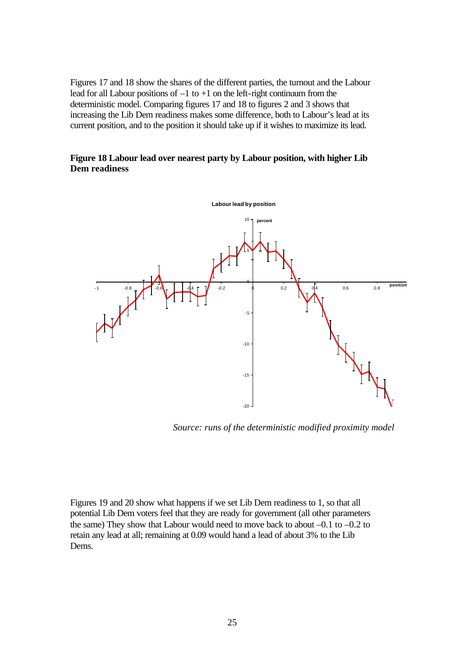Figures 17 and 18 show the shares of the different parties, the turnout and the Labour lead for all Labour positions of  $-1$  to  $+1$  on the left-right continuum from the deterministic model. Comparing figures 17 and 18 to figures 2 and 3 shows that increasing the Lib Dem readiness makes some difference, both to Labour's lead at its current position, and to the position it should take up if it wishes to maximize its lead.

#### **Figure 18 Labour lead over nearest party by Labour position, with higher Lib Dem readiness**



*Source: runs of the deterministic modified proximity model*

Figures 19 and 20 show what happens if we set Lib Dem readiness to 1, so that all potential Lib Dem voters feel that they are ready for government (all other parameters the same) They show that Labour would need to move back to about –0.1 to –0.2 to retain any lead at all; remaining at 0.09 would hand a lead of about 3% to the Lib Dems.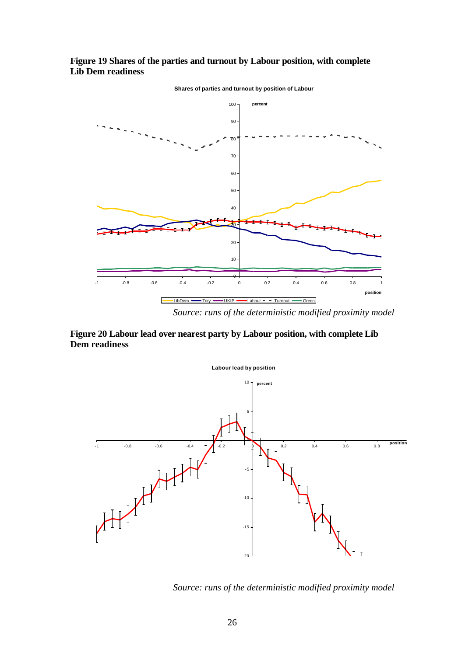**Figure 19 Shares of the parties and turnout by Labour position, with complete Lib Dem readiness**



**Shares of parties and turnout by position of Labour**

**Figure 20 Labour lead over nearest party by Labour position, with complete Lib** 

**Dem readiness**



*Source: runs of the deterministic modified proximity model*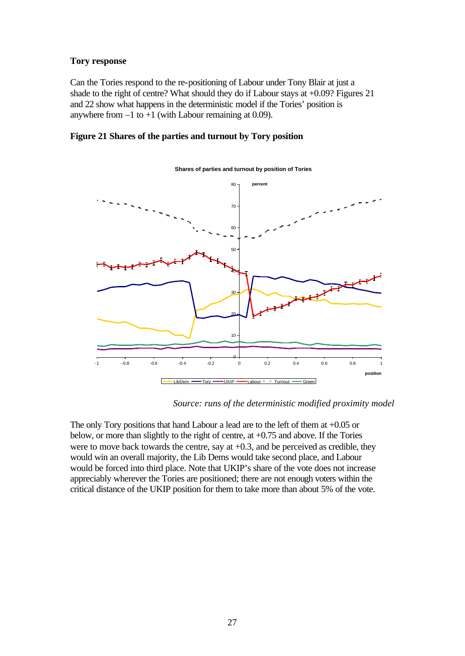#### **Tory response**

Can the Tories respond to the re-positioning of Labour under Tony Blair at just a shade to the right of centre? What should they do if Labour stays at +0.09? Figures 21 and 22 show what happens in the deterministic model if the Tories' position is anywhere from  $-1$  to  $+1$  (with Labour remaining at 0.09).

#### **Figure 21 Shares of the parties and turnout by Tory position**



#### **Shares of parties and turnout by position of Tories**

*Source: runs of the deterministic modified proximity model*

The only Tory positions that hand Labour a lead are to the left of them at +0.05 or below, or more than slightly to the right of centre, at +0.75 and above. If the Tories were to move back towards the centre, say at +0.3, and be perceived as credible, they would win an overall majority, the Lib Dems would take second place, and Labour would be forced into third place. Note that UKIP's share of the vote does not increase appreciably wherever the Tories are positioned; there are not enough voters within the critical distance of the UKIP position for them to take more than about 5% of the vote.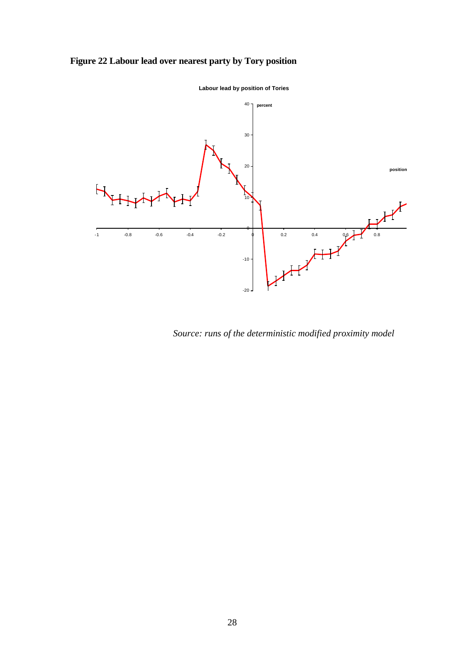# **Figure 22 Labour lead over nearest party by Tory position**



**Labour lead by position of Tories**

*Source: runs of the deterministic modified proximity model*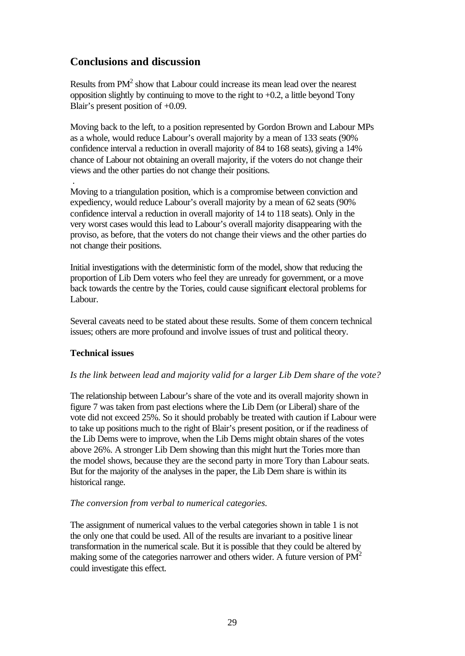# **Conclusions and discussion**

Results from  $PM<sup>2</sup>$  show that Labour could increase its mean lead over the nearest opposition slightly by continuing to move to the right to +0.2, a little beyond Tony Blair's present position of +0.09.

Moving back to the left, to a position represented by Gordon Brown and Labour MPs as a whole, would reduce Labour's overall majority by a mean of 133 seats (90% confidence interval a reduction in overall majority of 84 to 168 seats), giving a 14% chance of Labour not obtaining an overall majority, if the voters do not change their views and the other parties do not change their positions.

Moving to a triangulation position, which is a compromise between conviction and expediency, would reduce Labour's overall majority by a mean of 62 seats (90% confidence interval a reduction in overall majority of 14 to 118 seats). Only in the very worst cases would this lead to Labour's overall majority disappearing with the proviso, as before, that the voters do not change their views and the other parties do not change their positions.

Initial investigations with the deterministic form of the model, show that reducing the proportion of Lib Dem voters who feel they are unready for government, or a move back towards the centre by the Tories, could cause significant electoral problems for Labour.

Several caveats need to be stated about these results. Some of them concern technical issues; others are more profound and involve issues of trust and political theory.

#### **Technical issues**

.

#### *Is the link between lead and majority valid for a larger Lib Dem share of the vote?*

The relationship between Labour's share of the vote and its overall majority shown in figure 7 was taken from past elections where the Lib Dem (or Liberal) share of the vote did not exceed 25%. So it should probably be treated with caution if Labour were to take up positions much to the right of Blair's present position, or if the readiness of the Lib Dems were to improve, when the Lib Dems might obtain shares of the votes above 26%. A stronger Lib Dem showing than this might hurt the Tories more than the model shows, because they are the second party in more Tory than Labour seats. But for the majority of the analyses in the paper, the Lib Dem share is within its historical range.

#### *The conversion from verbal to numerical categories.*

The assignment of numerical values to the verbal categories shown in table 1 is not the only one that could be used. All of the results are invariant to a positive linear transformation in the numerical scale. But it is possible that they could be altered by making some of the categories narrower and others wider. A future version of  $PM<sup>2</sup>$ could investigate this effect.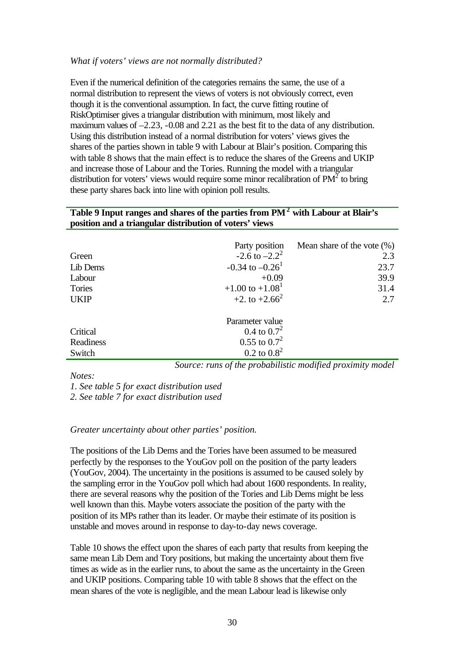#### *What if voters' views are not normally distributed?*

Even if the numerical definition of the categories remains the same, the use of a normal distribution to represent the views of voters is not obviously correct, even though it is the conventional assumption. In fact, the curve fitting routine of RiskOptimiser gives a triangular distribution with minimum, most likely and maximum values of –2.23, -0.08 and 2.21 as the best fit to the data of any distribution. Using this distribution instead of a normal distribution for voters' views gives the shares of the parties shown in table 9 with Labour at Blair's position. Comparing this with table 8 shows that the main effect is to reduce the shares of the Greens and UKIP and increase those of Labour and the Tories. Running the model with a triangular distribution for voters' views would require some minor recalibration of  $PM<sup>2</sup>$  to bring these party shares back into line with opinion poll results.

#### **Table 9 Input ranges and shares of the parties from PM<sup>2</sup> with Labour at Blair's position and a triangular distribution of voters' views**

| Green<br>Lib Dems<br>Labour<br>Tories | Party position<br>$-2.6$ to $-2.2^2$<br>$-0.34$ to $-0.26$ <sup>1</sup><br>$+0.09$<br>$+1.00$ to $+1.081$ | Mean share of the vote $(\%)$<br>2.3<br>23.7<br>39.9<br>31.4 |
|---------------------------------------|-----------------------------------------------------------------------------------------------------------|--------------------------------------------------------------|
| <b>UKIP</b>                           | +2. to +2.66 <sup>2</sup>                                                                                 | 2.7                                                          |
| Critical<br>Readiness<br>Switch       | Parameter value<br>0.4 to $0.7^2$<br>$0.55$ to $0.7^2$<br>$0.2 \text{ to } 0.8^2$                         |                                                              |

*Source: runs of the probabilistic modified proximity model*

*Notes:*

*1. See table 5 for exact distribution used*

*2. See table 7 for exact distribution used*

#### *Greater uncertainty about other parties' position.*

The positions of the Lib Dems and the Tories have been assumed to be measured perfectly by the responses to the YouGov poll on the position of the party leaders (YouGov, 2004). The uncertainty in the positions is assumed to be caused solely by the sampling error in the YouGov poll which had about 1600 respondents. In reality, there are several reasons why the position of the Tories and Lib Dems might be less well known than this. Maybe voters associate the position of the party with the position of its MPs rather than its leader. Or maybe their estimate of its position is unstable and moves around in response to day-to-day news coverage.

Table 10 shows the effect upon the shares of each party that results from keeping the same mean Lib Dem and Tory positions, but making the uncertainty about them five times as wide as in the earlier runs, to about the same as the uncertainty in the Green and UKIP positions. Comparing table 10 with table 8 shows that the effect on the mean shares of the vote is negligible, and the mean Labour lead is likewise only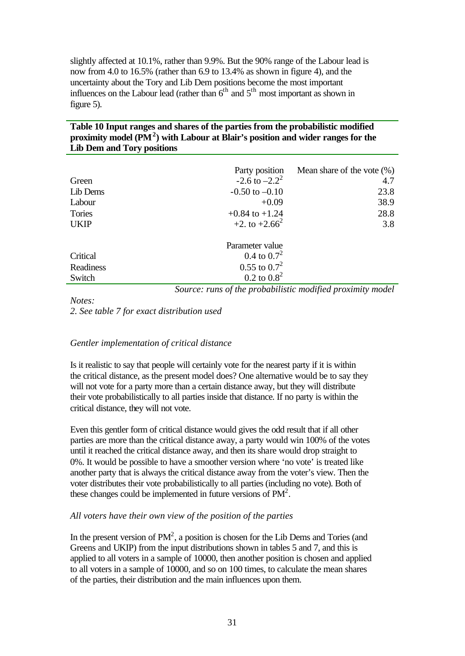slightly affected at 10.1%, rather than 9.9%. But the 90% range of the Labour lead is now from 4.0 to 16.5% (rather than 6.9 to 13.4% as shown in figure 4), and the uncertainty about the Tory and Lib Dem positions become the most important influences on the Labour lead (rather than  $6<sup>th</sup>$  and  $5<sup>th</sup>$  most important as shown in figure 5).

#### **Table 10 Input ranges and shares of the parties from the probabilistic modified proximity model (PM<sup>2</sup> ) with Labour at Blair's position and wider ranges for the Lib Dem and Tory positions**

|             | Party position                                             | Mean share of the vote $(\%)$ |
|-------------|------------------------------------------------------------|-------------------------------|
| Green       | $-2.6$ to $-2.2^2$                                         | 4.7                           |
| Lib Dems    | $-0.50$ to $-0.10$                                         | 23.8                          |
| Labour      | $+0.09$                                                    | 38.9                          |
| Tories      | $+0.84$ to $+1.24$                                         | 28.8                          |
| <b>UKIP</b> | $+2.$ to $+2.66^2$                                         | 3.8                           |
|             | Parameter value                                            |                               |
| Critical    | 0.4 to $0.7^2$                                             |                               |
| Readiness   | $0.55$ to $0.7^2$                                          |                               |
| Switch      | $0.2 \text{ to } 0.8^2$                                    |                               |
|             | Source: runs of the probabilistic modified proximity model |                               |

*Notes:*

*2. See table 7 for exact distribution used*

#### *Gentler implementation of critical distance*

Is it realistic to say that people will certainly vote for the nearest party if it is within the critical distance, as the present model does? One alternative would be to say they will not vote for a party more than a certain distance away, but they will distribute their vote probabilistically to all parties inside that distance. If no party is within the critical distance, they will not vote.

Even this gentler form of critical distance would gives the odd result that if all other parties are more than the critical distance away, a party would win 100% of the votes until it reached the critical distance away, and then its share would drop straight to 0%. It would be possible to have a smoother version where 'no vote' is treated like another party that is always the critical distance away from the voter's view. Then the voter distributes their vote probabilistically to all parties (including no vote). Both of these changes could be implemented in future versions of  $PM^2$ .

#### *All voters have their own view of the position of the parties*

In the present version of  $PM^2$ , a position is chosen for the Lib Dems and Tories (and Greens and UKIP) from the input distributions shown in tables 5 and 7, and this is applied to all voters in a sample of 10000, then another position is chosen and applied to all voters in a sample of 10000, and so on 100 times, to calculate the mean shares of the parties, their distribution and the main influences upon them.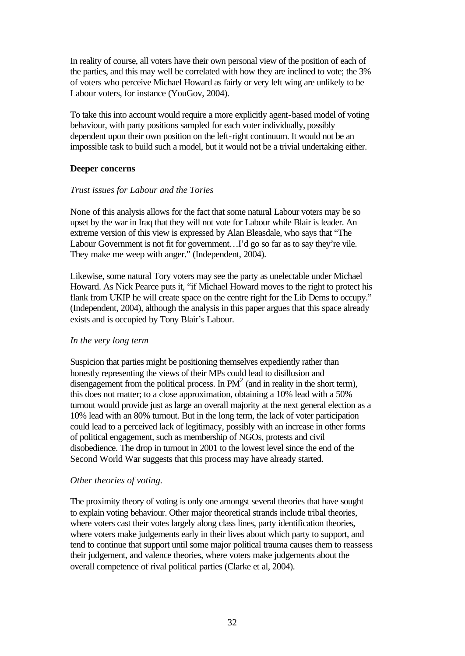In reality of course, all voters have their own personal view of the position of each of the parties, and this may well be correlated with how they are inclined to vote; the 3% of voters who perceive Michael Howard as fairly or very left wing are unlikely to be Labour voters, for instance (YouGov, 2004).

To take this into account would require a more explicitly agent-based model of voting behaviour, with party positions sampled for each voter individually, possibly dependent upon their own position on the left-right continuum. It would not be an impossible task to build such a model, but it would not be a trivial undertaking either.

#### **Deeper concerns**

#### *Trust issues for Labour and the Tories*

None of this analysis allows for the fact that some natural Labour voters may be so upset by the war in Iraq that they will not vote for Labour while Blair is leader. An extreme version of this view is expressed by Alan Bleasdale, who says that "The Labour Government is not fit for government...I'd go so far as to say they're vile. They make me weep with anger." (Independent, 2004).

Likewise, some natural Tory voters may see the party as unelectable under Michael Howard. As Nick Pearce puts it, "if Michael Howard moves to the right to protect his flank from UKIP he will create space on the centre right for the Lib Dems to occupy." (Independent, 2004), although the analysis in this paper argues that this space already exists and is occupied by Tony Blair's Labour.

#### *In the very long term*

Suspicion that parties might be positioning themselves expediently rather than honestly representing the views of their MPs could lead to disillusion and disengagement from the political process. In  $PM^2$  (and in reality in the short term), this does not matter; to a close approximation, obtaining a 10% lead with a 50% turnout would provide just as large an overall majority at the next general election as a 10% lead with an 80% turnout. But in the long term, the lack of voter participation could lead to a perceived lack of legitimacy, possibly with an increase in other forms of political engagement, such as membership of NGOs, protests and civil disobedience. The drop in turnout in 2001 to the lowest level since the end of the Second World War suggests that this process may have already started.

#### *Other theories of voting.*

The proximity theory of voting is only one amongst several theories that have sought to explain voting behaviour. Other major theoretical strands include tribal theories, where voters cast their votes largely along class lines, party identification theories, where voters make judgements early in their lives about which party to support, and tend to continue that support until some major political trauma causes them to reassess their judgement, and valence theories, where voters make judgements about the overall competence of rival political parties (Clarke et al, 2004).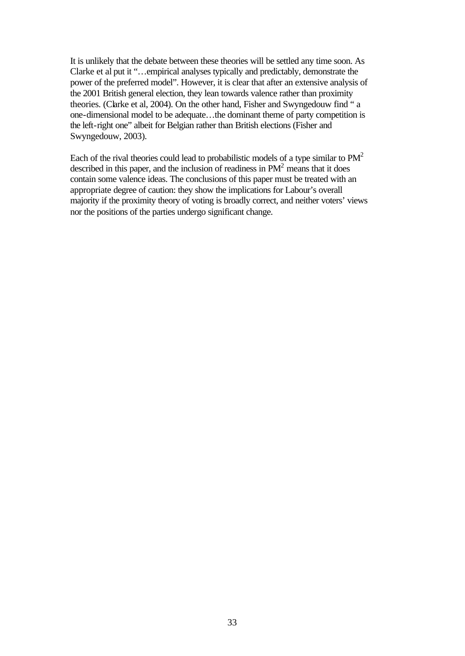It is unlikely that the debate between these theories will be settled any time soon. As Clarke et al put it "…empirical analyses typically and predictably, demonstrate the power of the preferred model". However, it is clear that after an extensive analysis of the 2001 British general election, they lean towards valence rather than proximity theories. (Clarke et al, 2004). On the other hand, Fisher and Swyngedouw find " a one-dimensional model to be adequate…the dominant theme of party competition is the left-right one" albeit for Belgian rather than British elections (Fisher and Swyngedouw, 2003).

Each of the rival theories could lead to probabilistic models of a type similar to  $PM^2$ described in this paper, and the inclusion of readiness in  $PM<sup>2</sup>$  means that it does contain some valence ideas. The conclusions of this paper must be treated with an appropriate degree of caution: they show the implications for Labour's overall majority if the proximity theory of voting is broadly correct, and neither voters' views nor the positions of the parties undergo significant change.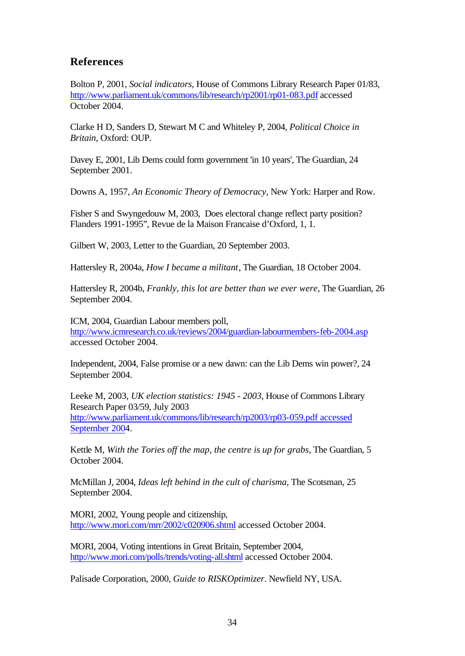### **References**

Bolton P, 2001, *Social indicators*, House of Commons Library Research Paper 01/83, http://www.parliament.uk/commons/lib/research/rp2001/rp01-083.pdf accessed October 2004.

Clarke H D, Sanders D, Stewart M C and Whiteley P, 2004, *Political Choice in Britain*, Oxford: OUP.

Davey E, 2001, Lib Dems could form government 'in 10 years', The Guardian, 24 September 2001.

Downs A, 1957, *An Economic Theory of Democracy*, New York: Harper and Row.

Fisher S and Swyngedouw M, 2003, Does electoral change reflect party position? Flanders 1991-1995", Revue de la Maison Francaise d'Oxford, 1, 1.

Gilbert W, 2003, Letter to the Guardian, 20 September 2003.

Hattersley R, 2004a, *How I became a militant*, The Guardian, 18 October 2004.

Hattersley R, 2004b, *Frankly, this lot are better than we ever were*, The Guardian, 26 September 2004.

ICM, 2004, Guardian Labour members poll, http://www.icmresearch.co.uk/reviews/2004/guardian-labourmembers-feb-2004.asp accessed October 2004.

Independent, 2004, False promise or a new dawn: can the Lib Dems win power?, 24 September 2004.

Leeke M, 2003, *UK election statistics: 1945 - 2003*, House of Commons Library Research Paper 03/59, July 2003 http://www.parliament.uk/commons/lib/research/rp2003/rp03-059.pdf accessed September 2004.

Kettle M, *With the Tories off the map, the centre is up for grabs*, The Guardian, 5 October 2004.

McMillan J, 2004, *Ideas left behind in the cult of charisma*, The Scotsman, 25 September 2004.

MORI, 2002, Young people and citizenship, http://www.mori.com/mrr/2002/c020906.shtml accessed October 2004.

MORI, 2004, Voting intentions in Great Britain, September 2004, http://www.mori.com/polls/trends/voting-all.shtml accessed October 2004.

Palisade Corporation, 2000, *Guide to RISKOptimizer*. Newfield NY, USA.